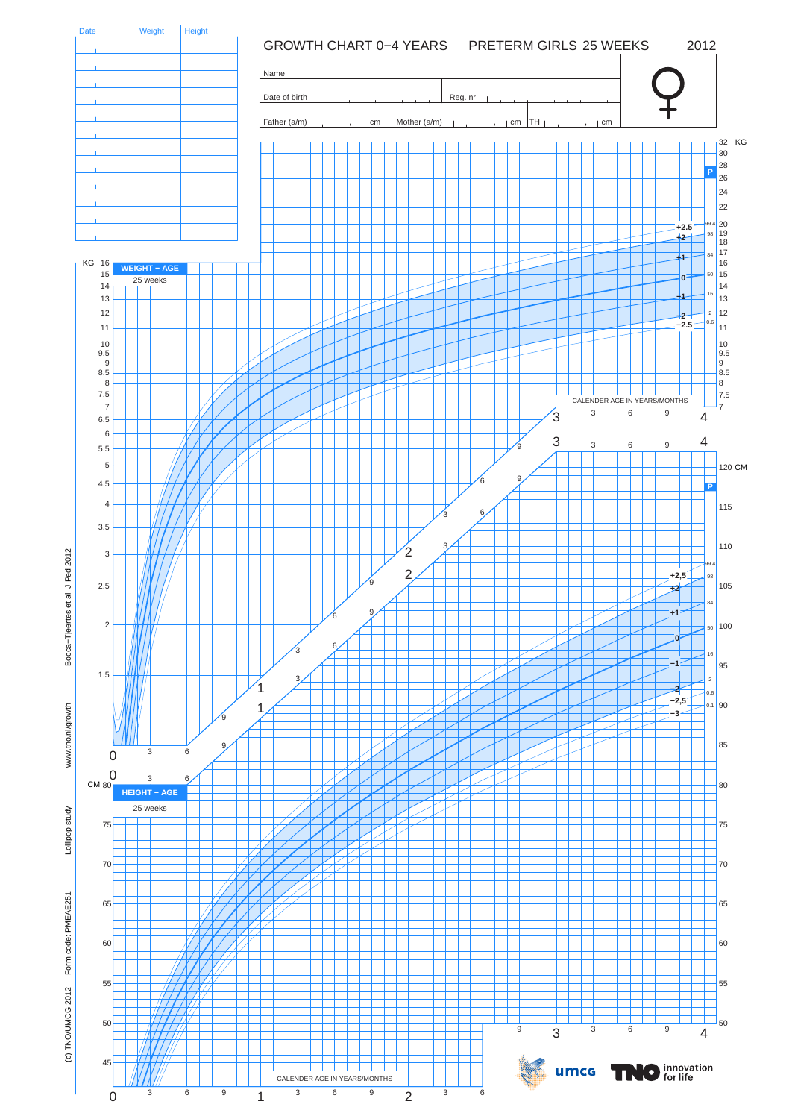